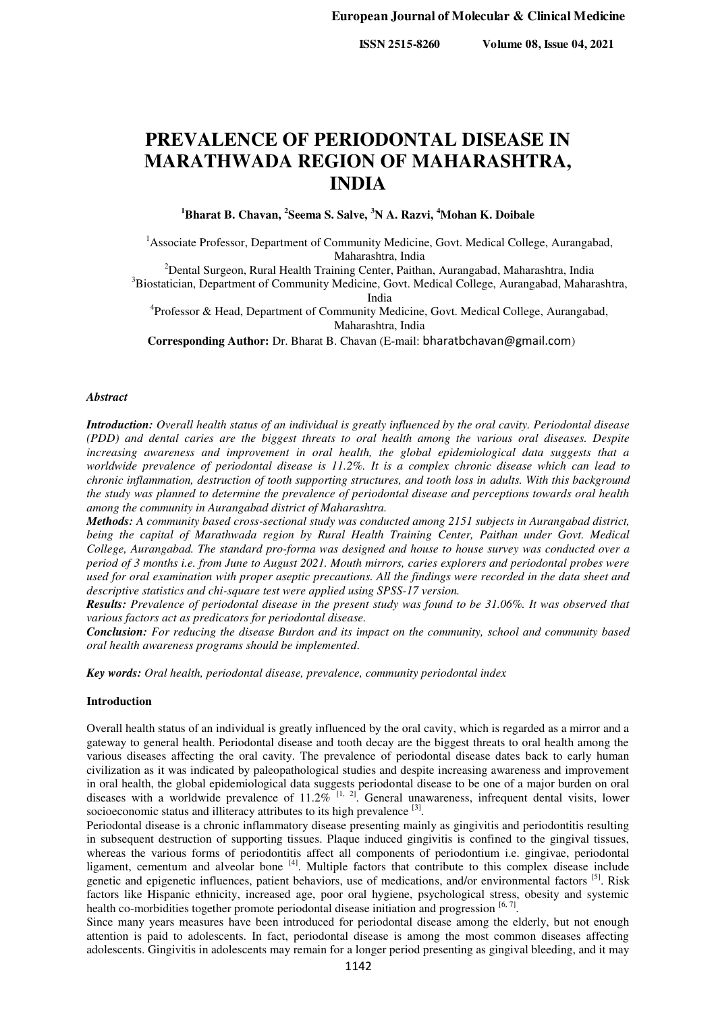**ISSN 2515-8260 Volume 08, Issue 04, 2021**

# **PREVALENCE OF PERIODONTAL DISEASE IN MARATHWADA REGION OF MAHARASHTRA, INDIA**

**<sup>1</sup>Bharat B. Chavan, <sup>2</sup> Seema S. Salve, <sup>3</sup>N A. Razvi, <sup>4</sup>Mohan K. Doibale**

<sup>1</sup> Associate Professor, Department of Community Medicine, Govt. Medical College, Aurangabad, Maharashtra, India

<sup>2</sup>Dental Surgeon, Rural Health Training Center, Paithan, Aurangabad, Maharashtra, India

<sup>3</sup>Biostatician, Department of Community Medicine, Govt. Medical College, Aurangabad, Maharashtra, India

<sup>4</sup>Professor & Head, Department of Community Medicine, Govt. Medical College, Aurangabad, Maharashtra, India

**Corresponding Author:** Dr. Bharat B. Chavan (E-mail: [bharatbchavan@gmail.com](mailto:bharatbchavan@gmail.com))

#### *Abstract*

*Introduction: Overall health status of an individual is greatly influenced by the oral cavity. Periodontal disease (PDD) and dental caries are the biggest threats to oral health among the various oral diseases. Despite increasing awareness and improvement in oral health, the global epidemiological data suggests that a worldwide prevalence of periodontal disease is 11.2%. It is a complex chronic disease which can lead to chronic inflammation, destruction of tooth supporting structures, and tooth loss in adults. With this background the study was planned to determine the prevalence of periodontal disease and perceptions towards oral health among the community in Aurangabad district of Maharashtra.* 

*Methods: A community based cross-sectional study was conducted among 2151 subjects in Aurangabad district, being the capital of Marathwada region by Rural Health Training Center, Paithan under Govt. Medical College, Aurangabad. The standard pro-forma was designed and house to house survey was conducted over a period of 3 months i.e. from June to August 2021. Mouth mirrors, caries explorers and periodontal probes were used for oral examination with proper aseptic precautions. All the findings were recorded in the data sheet and descriptive statistics and chi-square test were applied using SPSS-17 version.* 

*Results: Prevalence of periodontal disease in the present study was found to be 31.06%. It was observed that various factors act as predicators for periodontal disease.*

*Conclusion: For reducing the disease Burdon and its impact on the community, school and community based oral health awareness programs should be implemented.* 

*Key words: Oral health, periodontal disease, prevalence, community periodontal index* 

# **Introduction**

Overall health status of an individual is greatly influenced by the oral cavity, which is regarded as a mirror and a gateway to general health. Periodontal disease and tooth decay are the biggest threats to oral health among the various diseases affecting the oral cavity. The prevalence of periodontal disease dates back to early human civilization as it was indicated by paleopathological studies and despite increasing awareness and improvement in oral health, the global epidemiological data suggests periodontal disease to be one of a major burden on oral diseases with a worldwide prevalence of  $11.2\%$ <sup>[1, 2]</sup>. General unawareness, infrequent dental visits, lower socioeconomic status and illiteracy attributes to its high prevalence  $[3]$ .

Periodontal disease is a chronic inflammatory disease presenting mainly as gingivitis and periodontitis resulting in subsequent destruction of supporting tissues. Plaque induced gingivitis is confined to the gingival tissues, whereas the various forms of periodontitis affect all components of periodontium i.e. gingivae, periodontal ligament, cementum and alveolar bone <sup>[4]</sup>. Multiple factors that contribute to this complex disease include genetic and epigenetic influences, patient behaviors, use of medications, and/or environmental factors [5]. Risk factors like Hispanic ethnicity, increased age, poor oral hygiene, psychological stress, obesity and systemic health co-morbidities together promote periodontal disease initiation and progression  $[6, 7]$ .

Since many years measures have been introduced for periodontal disease among the elderly, but not enough attention is paid to adolescents. In fact, periodontal disease is among the most common diseases affecting adolescents. Gingivitis in adolescents may remain for a longer period presenting as gingival bleeding, and it may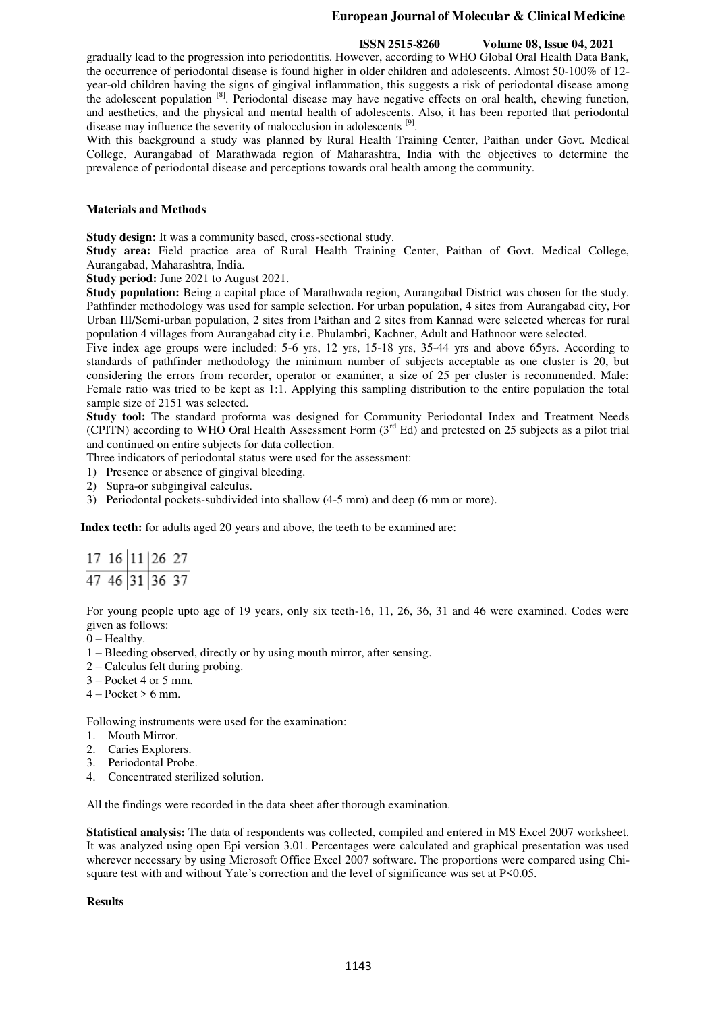#### **ISSN 2515-8260 Volume 08, Issue 04, 2021**

gradually lead to the progression into periodontitis. However, according to WHO Global Oral Health Data Bank, the occurrence of periodontal disease is found higher in older children and adolescents. Almost 50-100% of 12 year-old children having the signs of gingival inflammation, this suggests a risk of periodontal disease among the adolescent population <sup>[8]</sup>. Periodontal disease may have negative effects on oral health, chewing function, and aesthetics, and the physical and mental health of adolescents. Also, it has been reported that periodontal disease may influence the severity of malocclusion in adolescents <sup>[9]</sup>.

With this background a study was planned by Rural Health Training Center, Paithan under Govt. Medical College, Aurangabad of Marathwada region of Maharashtra, India with the objectives to determine the prevalence of periodontal disease and perceptions towards oral health among the community.

# **Materials and Methods**

**Study design:** It was a community based, cross-sectional study.

**Study area:** Field practice area of Rural Health Training Center, Paithan of Govt. Medical College, Aurangabad, Maharashtra, India.

**Study period:** June 2021 to August 2021.

**Study population:** Being a capital place of Marathwada region, Aurangabad District was chosen for the study. Pathfinder methodology was used for sample selection. For urban population, 4 sites from Aurangabad city, For Urban III/Semi-urban population, 2 sites from Paithan and 2 sites from Kannad were selected whereas for rural population 4 villages from Aurangabad city i.e. Phulambri, Kachner, Adult and Hathnoor were selected.

Five index age groups were included: 5-6 yrs, 12 yrs, 15-18 yrs, 35-44 yrs and above 65yrs. According to standards of pathfinder methodology the minimum number of subjects acceptable as one cluster is 20, but considering the errors from recorder, operator or examiner, a size of 25 per cluster is recommended. Male: Female ratio was tried to be kept as 1:1. Applying this sampling distribution to the entire population the total sample size of 2151 was selected.

**Study tool:** The standard proforma was designed for Community Periodontal Index and Treatment Needs (CPITN) according to WHO Oral Health Assessment Form  $(3<sup>rd</sup> Ed)$  and pretested on 25 subjects as a pilot trial and continued on entire subjects for data collection.

Three indicators of periodontal status were used for the assessment:

- 1) Presence or absence of gingival bleeding.
- 2) Supra-or subgingival calculus.
- 3) Periodontal pockets-subdivided into shallow (4-5 mm) and deep (6 mm or more).

**Index teeth:** for adults aged 20 years and above, the teeth to be examined are:

| 17 16 11 26 27   |  |  |
|------------------|--|--|
| $47$ 46 31 36 37 |  |  |

For young people upto age of 19 years, only six teeth-16, 11, 26, 36, 31 and 46 were examined. Codes were given as follows:

- $0$  Healthy.
- 1 Bleeding observed, directly or by using mouth mirror, after sensing.
- 2 Calculus felt during probing.
- 3 Pocket 4 or 5 mm.
- $4 -$ Pocket > 6 mm.

Following instruments were used for the examination:

- 1. Mouth Mirror.
- 2. Caries Explorers.
- 3. Periodontal Probe.
- 4. Concentrated sterilized solution.

All the findings were recorded in the data sheet after thorough examination.

**Statistical analysis:** The data of respondents was collected, compiled and entered in MS Excel 2007 worksheet. It was analyzed using open Epi version 3.01. Percentages were calculated and graphical presentation was used wherever necessary by using Microsoft Office Excel 2007 software. The proportions were compared using Chisquare test with and without Yate's correction and the level of significance was set at P<0.05.

# **Results**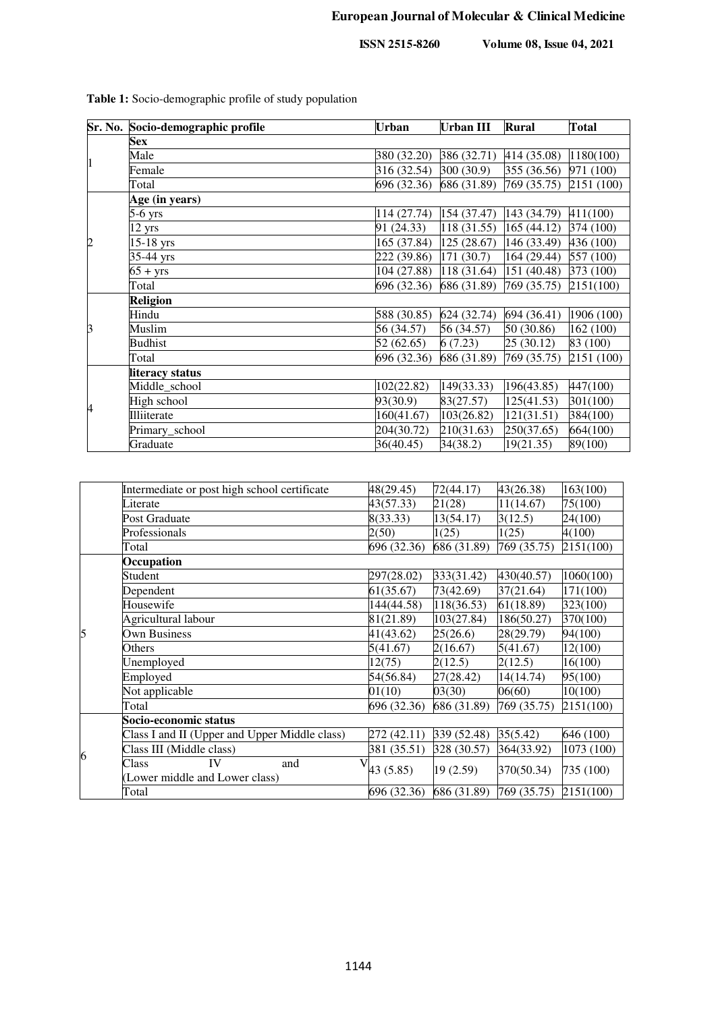**ISSN 2515-8260 Volume 08, Issue 04, 2021**

|                | Sr. No. Socio-demographic profile | <b>Urban</b> | <b>Urban III</b> | <b>Rural</b> | <b>Total</b> |  |  |  |  |
|----------------|-----------------------------------|--------------|------------------|--------------|--------------|--|--|--|--|
|                | <b>Sex</b>                        |              |                  |              |              |  |  |  |  |
| $\mathbf{1}$   | Male                              | 380 (32.20)  | 386 (32.71)      | 414 (35.08)  | 1180(100)    |  |  |  |  |
|                | Female                            | 316 (32.54)  | 300 (30.9)       | 355 (36.56)  | 971 (100)    |  |  |  |  |
|                | Total                             | 696 (32.36)  | 686 (31.89)      | 769 (35.75)  | 2151 (100)   |  |  |  |  |
|                | Age (in years)                    |              |                  |              |              |  |  |  |  |
|                | 5-6 yrs                           | 114 (27.74)  | 154 (37.47)      | 143 (34.79)  | 411(100)     |  |  |  |  |
|                | $12 \text{ yrs}$                  | 91 (24.33)   | 118 (31.55)      | 165(44.12)   | 374 (100)    |  |  |  |  |
| $\overline{c}$ | $15-18$ yrs                       | 165 (37.84)  | 125(28.67)       | 146 (33.49)  | 436 (100)    |  |  |  |  |
|                | 35-44 yrs                         | 222 (39.86)  | 171 (30.7)       | 164 (29.44)  | 557 (100)    |  |  |  |  |
|                | $65 + yrs$                        | 104 (27.88)  | 118 (31.64)      | 151 (40.48)  | 373 (100)    |  |  |  |  |
|                | Total                             | 696 (32.36)  | 686 (31.89)      | 769 (35.75)  | 2151(100)    |  |  |  |  |
|                | <b>Religion</b>                   |              |                  |              |              |  |  |  |  |
|                | Hindu                             | 588 (30.85)  | 624 (32.74)      | 694 (36.41)  | 1906 (100)   |  |  |  |  |
| 3              | Muslim                            | 56 (34.57)   | 56 (34.57)       | 50 (30.86)   | 162 (100)    |  |  |  |  |
|                | <b>Budhist</b>                    | 52(62.65)    | 6(7.23)          | 25(30.12)    | 83 (100)     |  |  |  |  |
|                | Total                             | 696 (32.36)  | 686 (31.89)      | 769 (35.75)  | 2151 (100)   |  |  |  |  |
|                | literacy status                   |              |                  |              |              |  |  |  |  |
|                | Middle_school                     | 102(22.82)   | 149(33.33)       | 196(43.85)   | 447(100)     |  |  |  |  |
| 4              | High school                       | 93(30.9)     | 83(27.57)        | 125(41.53)   | 301(100)     |  |  |  |  |
|                | Illiiterate                       | 160(41.67)   | 103(26.82)       | 121(31.51)   | 384(100)     |  |  |  |  |
|                | Primary_school                    | 204(30.72)   | 210(31.63)       | 250(37.65)   | 664(100)     |  |  |  |  |
|                | Graduate                          | 36(40.45)    | 34(38.2)         | 19(21.35)    | 89(100)      |  |  |  |  |

**Table 1:** Socio-demographic profile of study population

|   | Intermediate or post high school certificate  | 48(29.45)   | 72(44.17)   | 43(26.38)   | 163(100)   |  |  |  |  |
|---|-----------------------------------------------|-------------|-------------|-------------|------------|--|--|--|--|
|   | Literate                                      | 43(57.33)   | 21(28)      | 11(14.67)   | 75(100)    |  |  |  |  |
|   | Post Graduate                                 | 8(33.33)    | 13(54.17)   | 3(12.5)     | 24(100)    |  |  |  |  |
|   | Professionals                                 | 2(50)       | 1(25)       | 1(25)       | 4(100)     |  |  |  |  |
|   | Total                                         | 696 (32.36) | 686 (31.89) | 769 (35.75) | 2151(100)  |  |  |  |  |
|   | Occupation                                    |             |             |             |            |  |  |  |  |
|   | Student                                       | 297(28.02)  | 333(31.42)  | 430(40.57)  | 1060(100)  |  |  |  |  |
|   | Dependent                                     | 61(35.67)   | 73(42.69)   | 37(21.64)   | 171(100)   |  |  |  |  |
|   | Housewife                                     | 144(44.58)  | 118(36.53)  | 61(18.89)   | 323(100)   |  |  |  |  |
|   | Agricultural labour                           | 81(21.89)   | 103(27.84)  | 186(50.27)  | 370(100)   |  |  |  |  |
| 5 | <b>Own Business</b>                           | 41(43.62)   | 25(26.6)    | 28(29.79)   | 94(100)    |  |  |  |  |
|   | Others                                        | 5(41.67)    | 2(16.67)    | 5(41.67)    | 12(100)    |  |  |  |  |
|   | Unemployed                                    | 12(75)      | 2(12.5)     | 2(12.5)     | 16(100)    |  |  |  |  |
|   | Employed                                      | 54(56.84)   | 27(28.42)   | 14(14.74)   | 95(100)    |  |  |  |  |
|   | Not applicable                                | 01(10)      | 03(30)      | 06(60)      | 10(100)    |  |  |  |  |
|   | Total                                         | 696 (32.36) | 686 (31.89) | 769 (35.75) | 2151(100)  |  |  |  |  |
|   | Socio-economic status                         |             |             |             |            |  |  |  |  |
| 6 | Class I and II (Upper and Upper Middle class) | 272 (42.11) | 339(52.48)  | 35(5.42)    | 646 (100)  |  |  |  |  |
|   | Class III (Middle class)                      | 381 (35.51) | 328 (30.57) | 364(33.92)  | 1073 (100) |  |  |  |  |
|   | IV<br>Class<br>and                            | 43 (5.85)   | 19(2.59)    | 370(50.34)  | 735 (100)  |  |  |  |  |
|   | (Lower middle and Lower class)                |             |             |             |            |  |  |  |  |
|   | Total                                         | 696 (32.36) | 686 (31.89) | 769 (35.75) | 2151(100)  |  |  |  |  |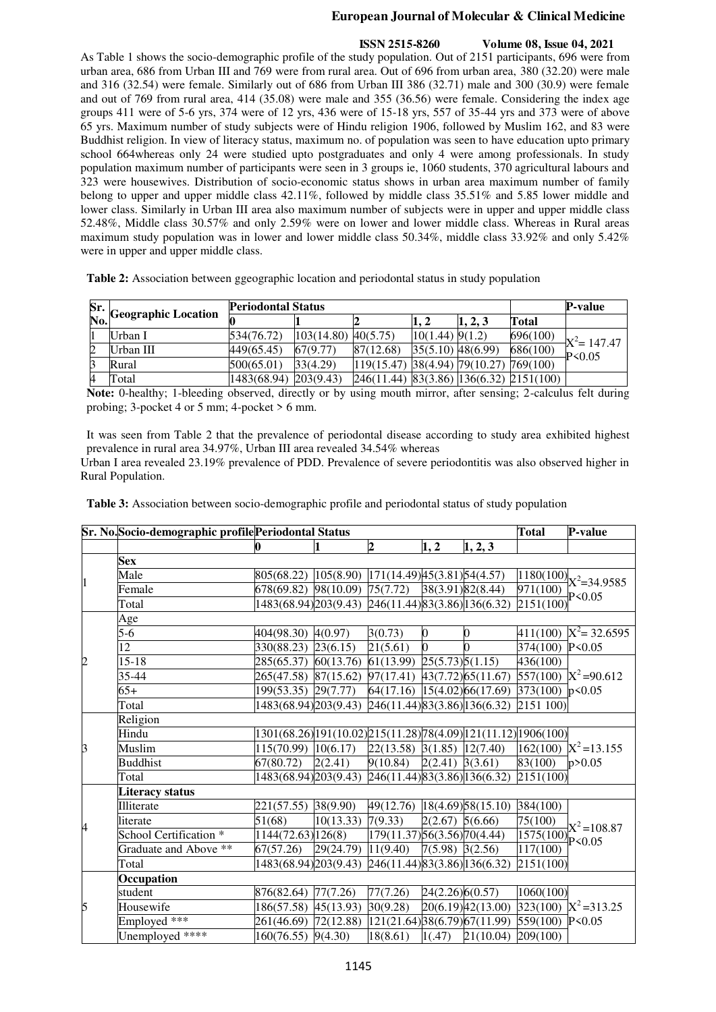# **ISSN 2515-8260 Volume 08, Issue 04, 2021**

As Table 1 shows the socio-demographic profile of the study population. Out of 2151 participants, 696 were from urban area, 686 from Urban III and 769 were from rural area. Out of 696 from urban area, 380 (32.20) were male and 316 (32.54) were female. Similarly out of 686 from Urban III 386 (32.71) male and 300 (30.9) were female and out of 769 from rural area, 414 (35.08) were male and 355 (36.56) were female. Considering the index age groups 411 were of 5-6 yrs, 374 were of 12 yrs, 436 were of 15-18 yrs, 557 of 35-44 yrs and 373 were of above 65 yrs. Maximum number of study subjects were of Hindu religion 1906, followed by Muslim 162, and 83 were Buddhist religion. In view of literacy status, maximum no. of population was seen to have education upto primary school 664whereas only 24 were studied upto postgraduates and only 4 were among professionals. In study population maximum number of participants were seen in 3 groups ie, 1060 students, 370 agricultural labours and 323 were housewives. Distribution of socio-economic status shows in urban area maximum number of family belong to upper and upper middle class 42.11%, followed by middle class 35.51% and 5.85 lower middle and lower class. Similarly in Urban III area also maximum number of subjects were in upper and upper middle class 52.48%, Middle class 30.57% and only 2.59% were on lower and lower middle class. Whereas in Rural areas maximum study population was in lower and lower middle class 50.34%, middle class 33.92% and only 5.42% were in upper and upper middle class.

**Table 2:** Association between ggeographic location and periodontal status in study population

|   | Sr.<br>No. Geographic Location | <b>Periodontal Status</b> |            | P-value    |                       |                             |                              |                 |
|---|--------------------------------|---------------------------|------------|------------|-----------------------|-----------------------------|------------------------------|-----------------|
|   |                                |                           |            |            |                       | 1, 2, 3                     | Total                        |                 |
|   | Urban I                        | 534(76.72)                | 103(14.80) | 40(5.75)   | $10(1.44)$ 9(1.2)     |                             | 696(100)                     | $-X^2 = 147.47$ |
| 2 | Urban III                      | 449(65.45)                | 67(9.77)   | 87(12.68)  | $35(5.10)$ $48(6.99)$ |                             | 686(100)                     | $-P0.05$        |
|   | Rural                          | 500(65.01)                | 33(4.29)   | 119(15.47) |                       | 38(4.94) 79(10.27) 769(100) |                              |                 |
|   | Total                          | 1483(68.94)               | 203(9.43)  | 246(11.44) |                       |                             | 83(3.86) 136(6.32) 2151(100) |                 |

**Note:** 0-healthy; 1-bleeding observed, directly or by using mouth mirror, after sensing; 2-calculus felt during probing; 3-pocket 4 or 5 mm; 4-pocket > 6 mm.

It was seen from Table 2 that the prevalence of periodontal disease according to study area exhibited highest prevalence in rural area 34.97%, Urban III area revealed 34.54% whereas

Urban I area revealed 23.19% prevalence of PDD. Prevalence of severe periodontitis was also observed higher in Rural Population.

**Table 3:** Association between socio-demographic profile and periodontal status of study population

|                          | Sr. No.Socio-demographic profile Periodontal Status |                                                                 |           |                                  |                          |                    | <b>Total</b>                         | P-value                           |  |
|--------------------------|-----------------------------------------------------|-----------------------------------------------------------------|-----------|----------------------------------|--------------------------|--------------------|--------------------------------------|-----------------------------------|--|
|                          |                                                     | 0                                                               |           | $\overline{2}$                   | $\mathbf{1}, \mathbf{2}$ | 1, 2, 3            |                                      |                                   |  |
|                          | <b>Sex</b>                                          |                                                                 |           |                                  |                          |                    |                                      |                                   |  |
| 1                        | Male                                                | 805(68.22)                                                      | 105(8.90) | 171(14.49)45(3.81)54(4.57)       |                          |                    |                                      | $\frac{1180(100)}{X^2} = 34.9585$ |  |
|                          | Female                                              | 678(69.82)                                                      | 98(10.09) | 75(7.72)                         |                          | 38(3.91) 82(8.44)  | 971(100)                             | P < 0.05                          |  |
|                          | Total                                               | 1483(68.94) 203(9.43) 246(11.44) 83(3.86) 136(6.32)             |           |                                  |                          |                    | 2151(100)                            |                                   |  |
|                          | Age                                                 |                                                                 |           |                                  |                          |                    |                                      |                                   |  |
|                          | $5-6$                                               | 404(98.30) 4(0.97)                                              |           | 3(0.73)                          | $\boldsymbol{0}$         | 0                  |                                      | 411(100) $X^2 = 32.6595$          |  |
|                          | 12                                                  | 330(88.23) 23(6.15)                                             |           | 21(5.61)                         | $\mathbf{0}$             |                    | 374(100) P<0.05                      |                                   |  |
| $\overline{c}$           | $15 - 18$                                           | 285(65.37) 60(13.76)                                            |           | $61(13.99)$ $25(5.73)5(1.15)$    |                          |                    | 436(100)                             |                                   |  |
|                          | 35-44                                               | 265(47.58) 87(15.62)                                            |           | $97(17.41)$ $43(7.72)$ 65(11.67) |                          |                    |                                      | $557(100)$ $X^2 = 90.612$         |  |
|                          | $65+$                                               | 199(53.35) 29(7.77)                                             |           | 64(17.16) 15(4.02) 66(17.69)     |                          |                    | $373(100) p \le 0.05$                |                                   |  |
|                          | Total                                               | 1483(68.94) 203(9.43) 246(11.44) 83(3.86) 136(6.32)             |           |                                  |                          |                    | 2151 100)                            |                                   |  |
|                          | Religion                                            |                                                                 |           |                                  |                          |                    |                                      |                                   |  |
|                          | Hindu                                               | 1301(68.26) 191(10.02) 215(11.28) 78(4.09) 121(11.12) 1906(100) |           |                                  |                          |                    |                                      |                                   |  |
| 3                        | Muslim                                              | 115(70.99)                                                      | 10(6.17)  | $22(13.58)$ 3(1.85) 12(7.40)     |                          |                    |                                      | $162(100)$ $X^2 = 13.155$         |  |
|                          | <b>Buddhist</b>                                     | 67(80.72)                                                       | 2(2.41)   | 9(10.84)                         | $2(2.41)$ 3(3.61)        |                    | 83(100)                              | p > 0.05                          |  |
|                          | Total                                               | 1483(68.94) 203(9.43) 246(11.44) 83(3.86) 136(6.32)             |           |                                  |                          |                    | 2151(100)                            |                                   |  |
|                          | <b>Literacy status</b>                              |                                                                 |           |                                  |                          |                    |                                      |                                   |  |
|                          | Illiterate                                          | 221(57.55) 38(9.90)                                             |           | 49(12.76) 18(4.69) 58(15.10)     |                          |                    | 384(100)                             |                                   |  |
| $\overline{\mathcal{A}}$ | literate                                            | 51(68)                                                          | 10(13.33) | 7(9.33)                          | $2(2.67)$ 5(6.66)        |                    | 75(100)                              | $X^2 = 108.87$                    |  |
|                          | School Certification <sup>*</sup>                   | 1144(72.63) 126(8)                                              |           | 179(11.37) 56(3.56) 70(4.44)     |                          |                    | $\frac{1575(100)}{1575(100)}$ P<0.05 |                                   |  |
|                          | Graduate and Above **                               | 67(57.26)                                                       | 29(24.79) | 11(9.40)                         | $7(5.98)$ 3(2.56)        |                    | 117(100)                             |                                   |  |
|                          | Total                                               | 1483(68.94) 203(9.43)                                           |           | 246(11.44) 83(3.86) 136(6.32)    |                          |                    | 2151(100)                            |                                   |  |
|                          | Occupation                                          |                                                                 |           |                                  |                          |                    |                                      |                                   |  |
|                          | student                                             | 876(82.64) 77(7.26)                                             |           | 77(7.26)                         | 24(2.26)6(0.57)          |                    | 1060(100)                            |                                   |  |
| 5                        | Housewife                                           | 186(57.58)                                                      | 45(13.93) | 30(9.28)                         |                          | 20(6.19)42(13.00)  |                                      | $323(100)$ $X^2 = 313.25$         |  |
|                          | Employed ***                                        | 261(46.69)                                                      | 72(12.88) | 121(21.64) 38(6.79) 67(11.99)    |                          |                    | 559(100) P<0.05                      |                                   |  |
|                          | Unemployed ****                                     | $160(76.55)$ 9(4.30)                                            |           | 18(8.61)                         |                          | $1(.47)$ 21(10.04) | 209(100)                             |                                   |  |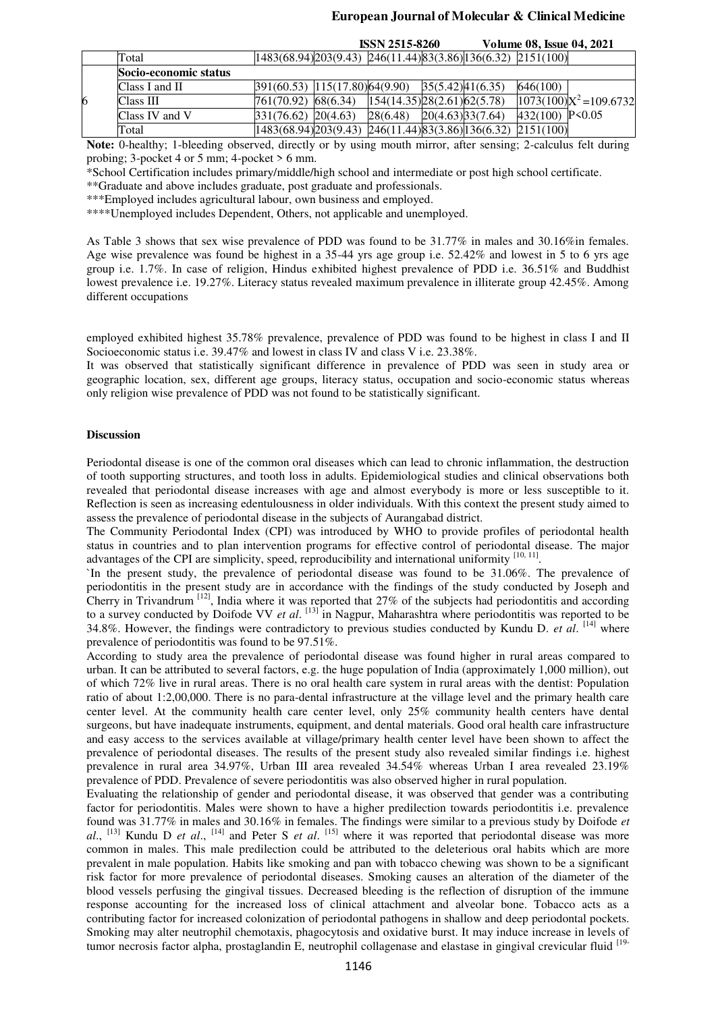**ISSN 2515-8260 Volume 08, Issue 04, 2021**

|   |                       |                                                                         | IDDIN 2515-8200               |                  | VOJUME V8. ISSUE V4. 2021 |                           |
|---|-----------------------|-------------------------------------------------------------------------|-------------------------------|------------------|---------------------------|---------------------------|
|   | Total                 | $ 1483(68.94) 203(9.43)$ $ 246(11.44) 83(3.86) 136(6.32)$ $ 2151(100) $ |                               |                  |                           |                           |
|   | Socio-economic status |                                                                         |                               |                  |                           |                           |
|   | Class I and $II$      | $ 391(60.53) 115(17.80) 64(9.90) 35(5.42) 41(6.35) $                    |                               |                  | 646(100)                  |                           |
| 6 | Class III             | 761(70.92) 68(6.34)                                                     | [154(14.35)]28(2.61)]62(5.78) |                  |                           | $1073(100)X^2 = 109.6732$ |
|   | Class IV and V        | 331(76.62) 20(4.63)                                                     | 28(6.48)                      | 20(4.63)33(7.64) | 432 $(100)$ P<0.05        |                           |
|   | Total                 | $[1483(68.94)]203(9.43)$ $[246(11.44)]83(3.86)]136(6.32)$ $[2151(100)]$ |                               |                  |                           |                           |

**Note:** 0-healthy; 1-bleeding observed, directly or by using mouth mirror, after sensing; 2-calculus felt during probing; 3-pocket 4 or 5 mm; 4-pocket > 6 mm.

\*School Certification includes primary/middle/high school and intermediate or post high school certificate.

\*\*Graduate and above includes graduate, post graduate and professionals.

\*\*\*Employed includes agricultural labour, own business and employed.

\*\*\*\*Unemployed includes Dependent, Others, not applicable and unemployed.

As Table 3 shows that sex wise prevalence of PDD was found to be 31.77% in males and 30.16%in females. Age wise prevalence was found be highest in a 35-44 yrs age group i.e. 52.42% and lowest in 5 to 6 yrs age group i.e. 1.7%. In case of religion, Hindus exhibited highest prevalence of PDD i.e. 36.51% and Buddhist lowest prevalence i.e. 19.27%. Literacy status revealed maximum prevalence in illiterate group 42.45%. Among different occupations

employed exhibited highest 35.78% prevalence, prevalence of PDD was found to be highest in class I and II Socioeconomic status i.e. 39.47% and lowest in class IV and class V i.e. 23.38%.

It was observed that statistically significant difference in prevalence of PDD was seen in study area or geographic location, sex, different age groups, literacy status, occupation and socio-economic status whereas only religion wise prevalence of PDD was not found to be statistically significant.

# **Discussion**

Periodontal disease is one of the common oral diseases which can lead to chronic inflammation, the destruction of tooth supporting structures, and tooth loss in adults. Epidemiological studies and clinical observations both revealed that periodontal disease increases with age and almost everybody is more or less susceptible to it. Reflection is seen as increasing edentulousness in older individuals. With this context the present study aimed to assess the prevalence of periodontal disease in the subjects of Aurangabad district.

The Community Periodontal Index (CPI) was introduced by WHO to provide profiles of periodontal health status in countries and to plan intervention programs for effective control of periodontal disease. The major advantages of the CPI are simplicity, speed, reproducibility and international uniformity [10, 11].

`In the present study, the prevalence of periodontal disease was found to be 31.06%. The prevalence of periodontitis in the present study are in accordance with the findings of the study conducted by Joseph and Cherry in Trivandrum  $^{[12]}$ , India where it was reported that 27% of the subjects had periodontitis and according to a survey conducted by Doifode VV *et al*. [13] in Nagpur, Maharashtra where periodontitis was reported to be 34.8%. However, the findings were contradictory to previous studies conducted by Kundu D. *et al*. [14] where prevalence of periodontitis was found to be 97.51%.

According to study area the prevalence of periodontal disease was found higher in rural areas compared to urban. It can be attributed to several factors, e.g. the huge population of India (approximately 1,000 million), out of which 72% live in rural areas. There is no oral health care system in rural areas with the dentist: Population ratio of about 1:2,00,000. There is no para-dental infrastructure at the village level and the primary health care center level. At the community health care center level, only 25% community health centers have dental surgeons, but have inadequate instruments, equipment, and dental materials. Good oral health care infrastructure and easy access to the services available at village/primary health center level have been shown to affect the prevalence of periodontal diseases. The results of the present study also revealed similar findings i.e. highest prevalence in rural area 34.97%, Urban III area revealed 34.54% whereas Urban I area revealed 23.19% prevalence of PDD. Prevalence of severe periodontitis was also observed higher in rural population.

Evaluating the relationship of gender and periodontal disease, it was observed that gender was a contributing factor for periodontitis. Males were shown to have a higher predilection towards periodontitis i.e. prevalence found was 31.77% in males and 30.16% in females. The findings were similar to a previous study by Doifode *et*  al., <sup>[13]</sup> Kundu D *et al.*, <sup>[14]</sup> and Peter S *et al.* <sup>[15]</sup> where it was reported that periodontal disease was more common in males. This male predilection could be attributed to the deleterious oral habits which are more prevalent in male population. Habits like smoking and pan with tobacco chewing was shown to be a significant risk factor for more prevalence of periodontal diseases. Smoking causes an alteration of the diameter of the blood vessels perfusing the gingival tissues. Decreased bleeding is the reflection of disruption of the immune response accounting for the increased loss of clinical attachment and alveolar bone. Tobacco acts as a contributing factor for increased colonization of periodontal pathogens in shallow and deep periodontal pockets. Smoking may alter neutrophil chemotaxis, phagocytosis and oxidative burst. It may induce increase in levels of tumor necrosis factor alpha, prostaglandin E, neutrophil collagenase and elastase in gingival crevicular fluid [19-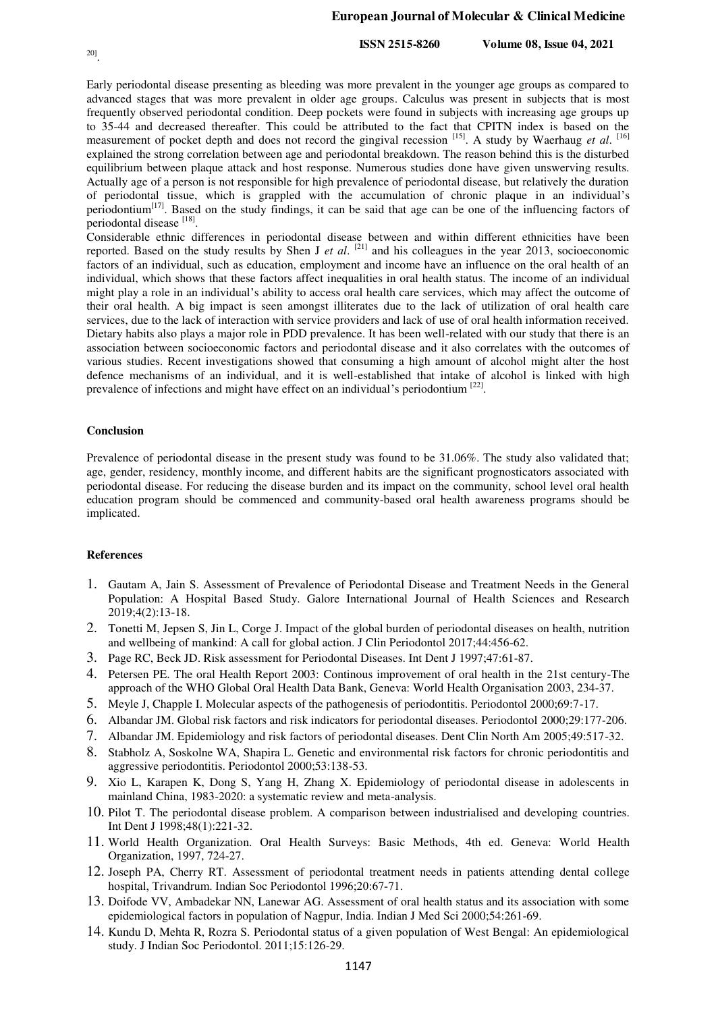# 20] .

#### **European Journal of Molecular & Clinical Medicine**

**ISSN 2515-8260 Volume 08, Issue 04, 2021**

Early periodontal disease presenting as bleeding was more prevalent in the younger age groups as compared to advanced stages that was more prevalent in older age groups. Calculus was present in subjects that is most frequently observed periodontal condition. Deep pockets were found in subjects with increasing age groups up to 35-44 and decreased thereafter. This could be attributed to the fact that CPITN index is based on the measurement of pocket depth and does not record the gingival recession <sup>[15]</sup>. A study by Waerhaug *et al.* [<sup>16]</sup> explained the strong correlation between age and periodontal breakdown. The reason behind this is the disturbed equilibrium between plaque attack and host response. Numerous studies done have given unswerving results. Actually age of a person is not responsible for high prevalence of periodontal disease, but relatively the duration of periodontal tissue, which is grappled with the accumulation of chronic plaque in an individual's periodontium[17]. Based on the study findings, it can be said that age can be one of the influencing factors of periodontal disease [18].

Considerable ethnic differences in periodontal disease between and within different ethnicities have been reported. Based on the study results by Shen J *et al*. [21] and his colleagues in the year 2013, socioeconomic factors of an individual, such as education, employment and income have an influence on the oral health of an individual, which shows that these factors affect inequalities in oral health status. The income of an individual might play a role in an individual's ability to access oral health care services, which may affect the outcome of their oral health. A big impact is seen amongst illiterates due to the lack of utilization of oral health care services, due to the lack of interaction with service providers and lack of use of oral health information received. Dietary habits also plays a major role in PDD prevalence. It has been well-related with our study that there is an association between socioeconomic factors and periodontal disease and it also correlates with the outcomes of various studies. Recent investigations showed that consuming a high amount of alcohol might alter the host defence mechanisms of an individual, and it is well-established that intake of alcohol is linked with high prevalence of infections and might have effect on an individual's periodontium  $[22]$ .

#### **Conclusion**

Prevalence of periodontal disease in the present study was found to be 31.06%. The study also validated that; age, gender, residency, monthly income, and different habits are the significant prognosticators associated with periodontal disease. For reducing the disease burden and its impact on the community, school level oral health education program should be commenced and community-based oral health awareness programs should be implicated.

#### **References**

- 1. Gautam A, Jain S. Assessment of Prevalence of Periodontal Disease and Treatment Needs in the General Population: A Hospital Based Study. Galore International Journal of Health Sciences and Research 2019;4(2):13-18.
- 2. Tonetti M, Jepsen S, Jin L, Corge J. Impact of the global burden of periodontal diseases on health, nutrition and wellbeing of mankind: A call for global action. J Clin Periodontol 2017;44:456-62.
- 3. Page RC, Beck JD. Risk assessment for Periodontal Diseases. Int Dent J 1997;47:61-87.
- 4. Petersen PE. The oral Health Report 2003: Continous improvement of oral health in the 21st century-The approach of the WHO Global Oral Health Data Bank, Geneva: World Health Organisation 2003, 234-37.
- 5. Meyle J, Chapple I. Molecular aspects of the pathogenesis of periodontitis. Periodontol 2000;69:7-17.
- 6. Albandar JM. Global risk factors and risk indicators for periodontal diseases. Periodontol 2000;29:177-206.
- 7. Albandar JM. Epidemiology and risk factors of periodontal diseases. Dent Clin North Am 2005;49:517-32.
- 8. Stabholz A, Soskolne WA, Shapira L. Genetic and environmental risk factors for chronic periodontitis and aggressive periodontitis. Periodontol 2000;53:138-53.
- 9. Xio L, Karapen K, Dong S, Yang H, Zhang X. Epidemiology of periodontal disease in adolescents in mainland China, 1983-2020: a systematic review and meta-analysis.
- 10. Pilot T. The periodontal disease problem. A comparison between industrialised and developing countries. Int Dent J 1998;48(1):221-32.
- 11. World Health Organization. Oral Health Surveys: Basic Methods, 4th ed. Geneva: World Health Organization, 1997, 724-27.
- 12. Joseph PA, Cherry RT. Assessment of periodontal treatment needs in patients attending dental college hospital, Trivandrum. Indian Soc Periodontol 1996;20:67‑71.
- 13. Doifode VV, Ambadekar NN, Lanewar AG. Assessment of oral health status and its association with some epidemiological factors in population of Nagpur, India. Indian J Med Sci 2000;54:261-69.
- 14. Kundu D, Mehta R, Rozra S. Periodontal status of a given population of West Bengal: An epidemiological study. J Indian Soc Periodontol. 2011;15:126-29.